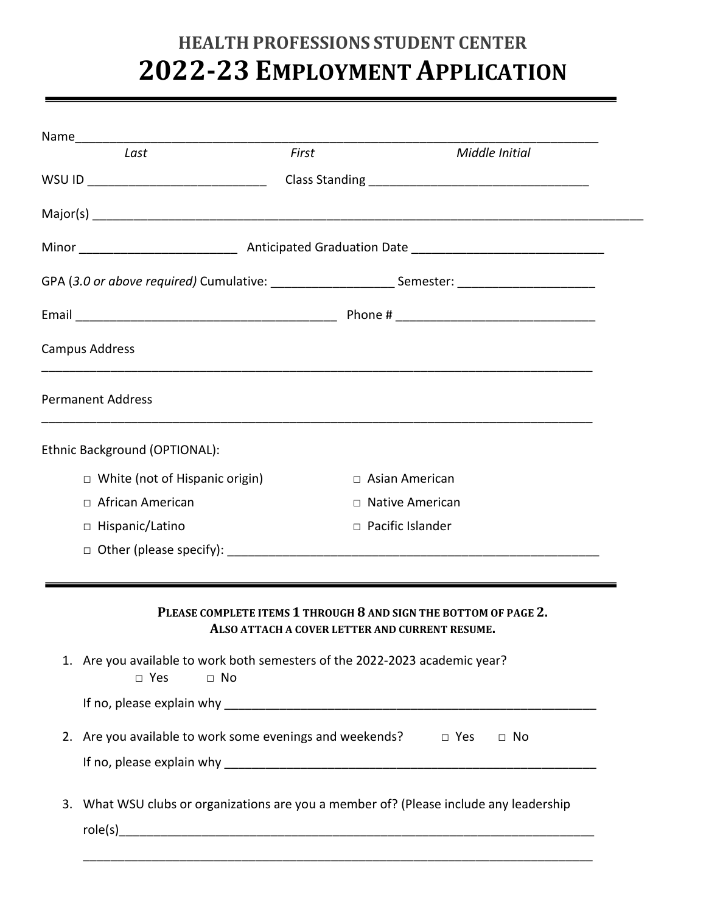## **HEALTH PROFESSIONS STUDENT CENTER 2022-23 EMPLOYMENT APPLICATION**

| Last                                                     | First                                                                                    | Middle Initial                                                                                                     |  |  |  |
|----------------------------------------------------------|------------------------------------------------------------------------------------------|--------------------------------------------------------------------------------------------------------------------|--|--|--|
|                                                          |                                                                                          |                                                                                                                    |  |  |  |
|                                                          |                                                                                          |                                                                                                                    |  |  |  |
|                                                          |                                                                                          |                                                                                                                    |  |  |  |
|                                                          |                                                                                          |                                                                                                                    |  |  |  |
|                                                          |                                                                                          | GPA (3.0 or above required) Cumulative: __________________________Semester: ________________________               |  |  |  |
|                                                          |                                                                                          |                                                                                                                    |  |  |  |
| Campus Address                                           |                                                                                          |                                                                                                                    |  |  |  |
| <b>Permanent Address</b>                                 |                                                                                          |                                                                                                                    |  |  |  |
| Ethnic Background (OPTIONAL):                            |                                                                                          |                                                                                                                    |  |  |  |
| $\Box$ White (not of Hispanic origin)                    |                                                                                          | $\Box$ Asian American                                                                                              |  |  |  |
| □ African American                                       |                                                                                          | $\Box$ Native American                                                                                             |  |  |  |
| □ Hispanic/Latino                                        |                                                                                          | $\Box$ Pacific Islander                                                                                            |  |  |  |
|                                                          |                                                                                          |                                                                                                                    |  |  |  |
|                                                          |                                                                                          | PLEASE COMPLETE ITEMS 1 THROUGH 8 AND SIGN THE BOTTOM OF PAGE 2.<br>ALSO ATTACH A COVER LETTER AND CURRENT RESUME. |  |  |  |
| □ Yes                                                    | 1. Are you available to work both semesters of the 2022-2023 academic year?<br>$\Box$ No |                                                                                                                    |  |  |  |
|                                                          |                                                                                          |                                                                                                                    |  |  |  |
| 2. Are you available to work some evenings and weekends? |                                                                                          | $\Box$ Yes $\Box$ No                                                                                               |  |  |  |
|                                                          |                                                                                          |                                                                                                                    |  |  |  |
|                                                          | 3. What WSU clubs or organizations are you a member of? (Please include any leadership   |                                                                                                                    |  |  |  |